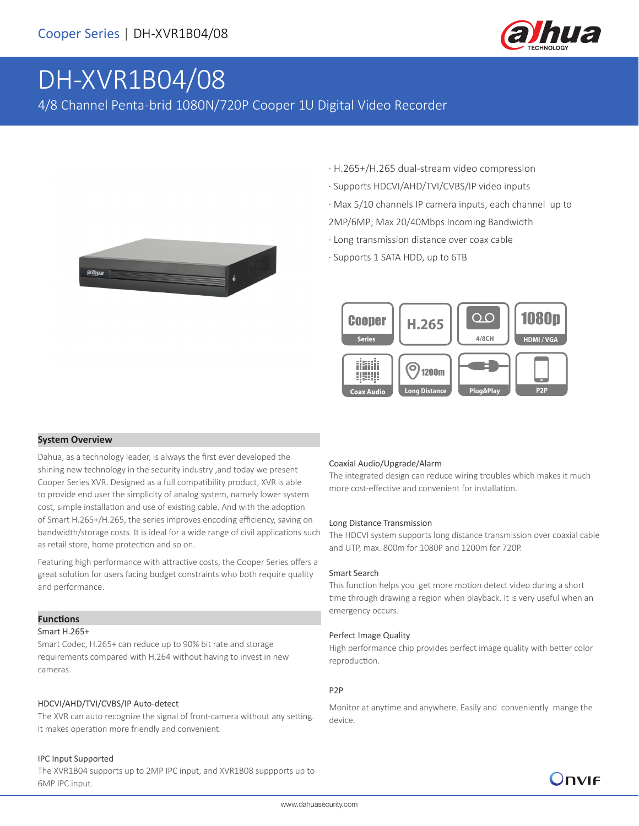

# DH-XVR1B04/08

4/8 Channel Penta-brid 1080N/720P Cooper 1U Digital Video Recorder



- · H.265+/H.265 dual-stream video compression
- · Supports HDCVI/AHD/TVI/CVBS/IP video inputs
- · Max 5/10 channels IP camera inputs, each channel up to
- 2MP/6MP; Max 20/40Mbps Incoming Bandwidth
- · Long transmission distance over coax cable
- · Supports 1 SATA HDD, up to 6TB



#### **System Overview**

Dahua, as a technology leader, is always the first ever developed the shining new technology in the security industry ,and today we present Cooper Series XVR. Designed as a full compatibility product, XVR is able to provide end user the simplicity of analog system, namely lower system cost, simple installation and use of existing cable. And with the adoption of Smart H.265+/H.265, the series improves encoding efficiency, saving on bandwidth/storage costs. It is ideal for a wide range of civil applications such as retail store, home protection and so on.

Featuring high performance with attractive costs, the Cooper Series offers a great solution for users facing budget constraints who both require quality and performance.

#### **Functions**

#### Smart H.265+

Smart Codec, H.265+ can reduce up to 90% bit rate and storage requirements compared with H.264 without having to invest in new cameras.

#### HDCVI/AHD/TVI/CVBS/IP Auto-detect

The XVR can auto recognize the signal of front-camera without any setting. It makes operation more friendly and convenient.

#### IPC Input Supported

The XVR1B04 supports up to 2MP IPC input, and XVR1B08 suppports up to 6MP IPC input.

#### Coaxial Audio/Upgrade/Alarm

The integrated design can reduce wiring troubles which makes it much more cost-effective and convenient for installation.

#### Long Distance Transmission

The HDCVI system supports long distance transmission over coaxial cable and UTP, max. 800m for 1080P and 1200m for 720P.

#### Smart Search

This function helps you get more motion detect video during a short time through drawing a region when playback. It is very useful when an emergency occurs.

#### Perfect Image Quality

High performance chip provides perfect image quality with better color reproduction.

#### P2P

Monitor at anytime and anywhere. Easily and conveniently mange the device.

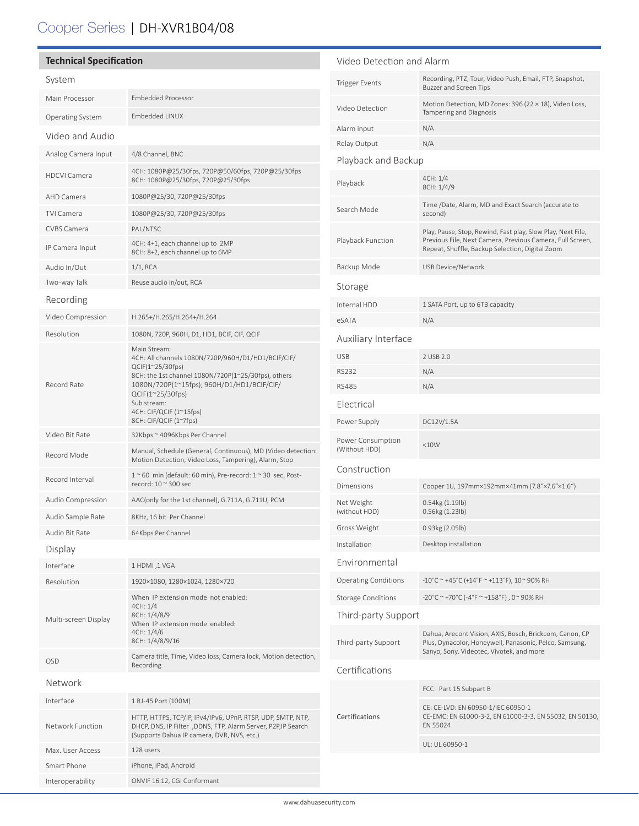# Cooper Series | DH-XVR1B04/08

֦

| <b>Technical Specification</b> |                                                                                                                                                                           | Video Detection and Alarm          |                                                                                                                                                                             |
|--------------------------------|---------------------------------------------------------------------------------------------------------------------------------------------------------------------------|------------------------------------|-----------------------------------------------------------------------------------------------------------------------------------------------------------------------------|
| System                         |                                                                                                                                                                           | <b>Trigger Events</b>              | Recording, PTZ, Tour, Video Push, Email, FTP, Snapshot,<br><b>Buzzer and Screen Tips</b>                                                                                    |
| Main Processor                 | <b>Embedded Processor</b>                                                                                                                                                 | Video Detection                    | Motion Detection, MD Zones: 396 (22 × 18), Video Loss,                                                                                                                      |
| <b>Operating System</b>        | <b>Embedded LINUX</b>                                                                                                                                                     |                                    | Tampering and Diagnosis                                                                                                                                                     |
| Video and Audio                |                                                                                                                                                                           | Alarm input                        | N/A                                                                                                                                                                         |
| Analog Camera Input            | 4/8 Channel, BNC                                                                                                                                                          | Relay Output                       | N/A                                                                                                                                                                         |
| <b>HDCVI Camera</b>            | 4CH: 1080P@25/30fps, 720P@50/60fps, 720P@25/30fps                                                                                                                         | Playback and Backup                |                                                                                                                                                                             |
|                                | 8CH: 1080P@25/30fps, 720P@25/30fps                                                                                                                                        | Playback                           | 4CH: 1/4<br>8CH: 1/4/9                                                                                                                                                      |
| AHD Camera                     | 1080P@25/30, 720P@25/30fps                                                                                                                                                | Search Mode                        | Time /Date, Alarm, MD and Exact Search (accurate to                                                                                                                         |
| TVI Camera<br>CVBS Camera      | 1080P@25/30, 720P@25/30fps<br>PAL/NTSC                                                                                                                                    |                                    | second)                                                                                                                                                                     |
| IP Camera Input                | 4CH: 4+1, each channel up to 2MP<br>8CH: 8+2, each channel up to 6MP                                                                                                      | Playback Function                  | Play, Pause, Stop, Rewind, Fast play, Slow Play, Next File,<br>Previous File, Next Camera, Previous Camera, Full Screen,<br>Repeat, Shuffle, Backup Selection, Digital Zoom |
| Audio In/Out                   | $1/1$ , RCA                                                                                                                                                               | Backup Mode                        | <b>USB Device/Network</b>                                                                                                                                                   |
| Two-way Talk                   | Reuse audio in/out, RCA                                                                                                                                                   | Storage                            |                                                                                                                                                                             |
| Recording                      |                                                                                                                                                                           | Internal HDD                       | 1 SATA Port, up to 6TB capacity                                                                                                                                             |
| Video Compression              | H.265+/H.265/H.264+/H.264                                                                                                                                                 | eSATA                              | N/A                                                                                                                                                                         |
| Resolution                     | 1080N, 720P, 960H, D1, HD1, BCIF, CIF, QCIF                                                                                                                               | Auxiliary Interface                |                                                                                                                                                                             |
|                                | Main Stream:<br>4CH: All channels 1080N/720P/960H/D1/HD1/BCIF/CIF/<br>$QCIF(1^225/30fps)$                                                                                 |                                    |                                                                                                                                                                             |
|                                |                                                                                                                                                                           | <b>USB</b>                         | 2 USB 2.0<br>N/A                                                                                                                                                            |
| Record Rate                    | 8CH: the 1st channel 1080N/720P(1~25/30fps), others<br>1080N/720P(1~15fps); 960H/D1/HD1/BCIF/CIF/                                                                         | <b>RS232</b><br><b>RS485</b>       | N/A                                                                                                                                                                         |
|                                | $QCIF(1^225/30fps)$<br>Sub stream:<br>4CH: CIF/QCIF (1~15fps)                                                                                                             |                                    |                                                                                                                                                                             |
|                                |                                                                                                                                                                           | Electrical                         |                                                                                                                                                                             |
| Video Bit Rate                 | 8CH: CIF/QCIF (1~7fps)<br>32Kbps ~ 4096Kbps Per Channel                                                                                                                   | Power Supply                       | DC12V/1.5A                                                                                                                                                                  |
| Record Mode                    | Manual, Schedule (General, Continuous), MD (Video detection:<br>Motion Detection, Video Loss, Tampering), Alarm, Stop                                                     | Power Consumption<br>(Without HDD) | <10W                                                                                                                                                                        |
|                                | $1~$ ~60 min (default: 60 min), Pre-record: $1~$ ~30 sec, Post-                                                                                                           | Construction                       |                                                                                                                                                                             |
| Record Interval                | record: $10 \approx 300$ sec                                                                                                                                              | Dimensions                         | Cooper 1U, 197mm×192mm×41mm (7.8"×7.6"×1.6")                                                                                                                                |
| Audio Compression              | AAC(only for the 1st channel), G.711A, G.711U, PCM                                                                                                                        | Net Weight                         | 0.54kg (1.19lb)                                                                                                                                                             |
| Audio Sample Rate              | 8KHz, 16 bit Per Channel                                                                                                                                                  | (without HDD)                      | 0.56kg (1.23lb)                                                                                                                                                             |
| Audio Bit Rate                 | 64Kbps Per Channel                                                                                                                                                        | Gross Weight                       | 0.93kg (2.05lb)                                                                                                                                                             |
| Display                        |                                                                                                                                                                           | Installation                       | Desktop installation                                                                                                                                                        |
| Interface                      | 1 HDMI,1 VGA                                                                                                                                                              | Environmental                      |                                                                                                                                                                             |
| Resolution                     | 1920×1080, 1280×1024, 1280×720                                                                                                                                            | <b>Operating Conditions</b>        | $-10^{\circ}$ C ~ +45°C (+14°F ~ +113°F), 10~ 90% RH                                                                                                                        |
| Multi-screen Display           | When IP extension mode not enabled:<br>4CH: 1/4<br>8CH: 1/4/8/9<br>When IP extension mode enabled:<br>4CH: 1/4/6<br>8CH: 1/4/8/9/16                                       | <b>Storage Conditions</b>          | -20°C ~ +70°C (-4°F ~ +158°F), 0~90% RH                                                                                                                                     |
|                                |                                                                                                                                                                           | Third-party Support                |                                                                                                                                                                             |
|                                |                                                                                                                                                                           | Third-party Support                | Dahua, Arecont Vision, AXIS, Bosch, Brickcom, Canon, CP<br>Plus, Dynacolor, Honeywell, Panasonic, Pelco, Samsung,<br>Sanyo, Sony, Videotec, Vivotek, and more               |
| OSD                            | Camera title, Time, Video loss, Camera lock, Motion detection,<br>Recording                                                                                               | Certifications                     |                                                                                                                                                                             |
| Network                        |                                                                                                                                                                           |                                    |                                                                                                                                                                             |
| Interface                      | 1 RJ-45 Port (100M)                                                                                                                                                       | FCC: Part 15 Subpart B             |                                                                                                                                                                             |
| Network Function               | HTTP, HTTPS, TCP/IP, IPv4/IPv6, UPnP, RTSP, UDP, SMTP, NTP,<br>DHCP, DNS, IP Filter ,DDNS, FTP, Alarm Server, P2P,IP Search<br>(Supports Dahua IP camera, DVR, NVS, etc.) | Certifications                     | CE: CE-LVD: EN 60950-1/IEC 60950-1<br>CE-EMC: EN 61000-3-2, EN 61000-3-3, EN 55032, EN 50130,<br>EN 55024                                                                   |
| Max. User Access               | 128 users                                                                                                                                                                 |                                    | UL: UL 60950-1                                                                                                                                                              |
| Smart Phone                    | iPhone, iPad, Android                                                                                                                                                     |                                    |                                                                                                                                                                             |
| Interoperability               | ONVIF 16.12, CGI Conformant                                                                                                                                               |                                    |                                                                                                                                                                             |